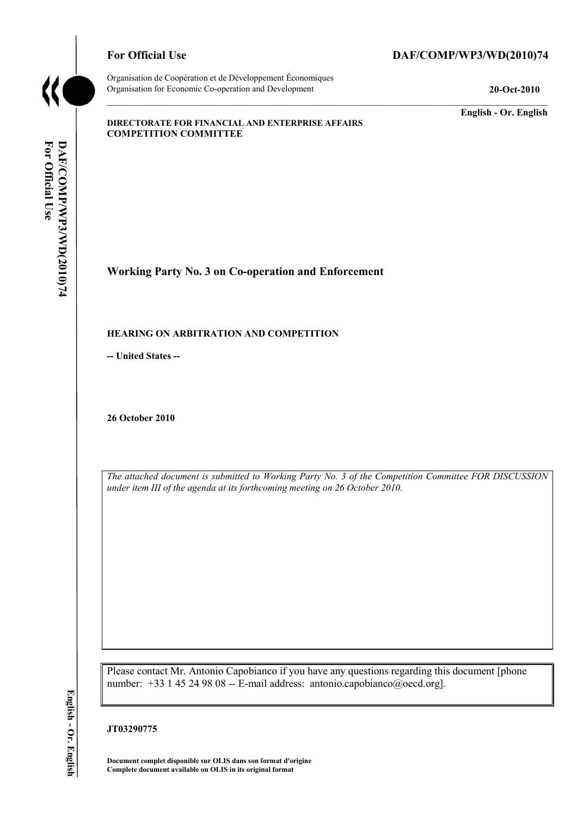

Organisation de Coopération et de Développement Économiques Organisation for Economic Co-operation and Development **20-Oct-2010** 

# For Official Use DAF/COMP/WP3/WD(2010)74

**English - Or. English** 

#### **DIRECTORATE FOR FINANCIAL AND ENTERPRISE AFFAIRS COMPETITION COMMITTEE**

**Working Party No. 3 on Co-operation and Enforcement** 

#### **HEARING ON ARBITRATION AND COMPETITION**

**-- United States --**

**26 October 2010** 

*The attached document is submitted to Working Party No. 3 of the Competition Committee FOR DISCUSSION under item III of the agenda at its forthcoming meeting on 26 October 2010.* 

Please contact Mr. Antonio Capobianco if you have any questions regarding this document [phone number: +33 1 45 24 98 08 -- E-mail address: antonio.capobianco@oecd.org].

**JT03290775** 

 **Document complet disponible sur OLIS dans son format d'origine Complete document available on OLIS in its original format**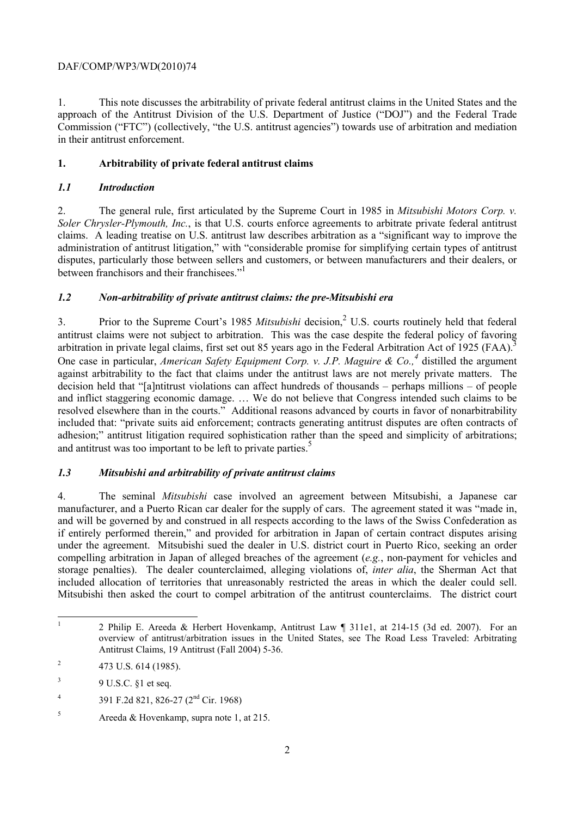1. This note discusses the arbitrability of private federal antitrust claims in the United States and the approach of the Antitrust Division of the U.S. Department of Justice ("DOJ") and the Federal Trade Commission ("FTC") (collectively, "the U.S. antitrust agencies") towards use of arbitration and mediation in their antitrust enforcement.

# **1. Arbitrability of private federal antitrust claims**

## *1.1 Introduction*

2. The general rule, first articulated by the Supreme Court in 1985 in *Mitsubishi Motors Corp. v. Soler Chrysler-Plymouth, Inc.*, is that U.S. courts enforce agreements to arbitrate private federal antitrust claims. A leading treatise on U.S. antitrust law describes arbitration as a "significant way to improve the administration of antitrust litigation," with "considerable promise for simplifying certain types of antitrust disputes, particularly those between sellers and customers, or between manufacturers and their dealers, or between franchisors and their franchisees."<sup>1</sup>

# *1.2 Non-arbitrability of private antitrust claims: the pre-Mitsubishi era*

3. Prior to the Supreme Court's 1985 Mitsubishi decision,<sup>2</sup> U.S. courts routinely held that federal antitrust claims were not subject to arbitration. This was the case despite the federal policy of favoring arbitration in private legal claims, first set out 85 years ago in the Federal Arbitration Act of 1925 (FAA).<sup>3</sup> One case in particular, *American Safety Equipment Corp. v. J.P. Maguire & Co.*<sup>4</sup> distilled the argument against arbitrability to the fact that claims under the antitrust laws are not merely private matters. The decision held that "[a]ntitrust violations can affect hundreds of thousands – perhaps millions – of people and inflict staggering economic damage. … We do not believe that Congress intended such claims to be resolved elsewhere than in the courts." Additional reasons advanced by courts in favor of nonarbitrability included that: "private suits aid enforcement; contracts generating antitrust disputes are often contracts of adhesion;" antitrust litigation required sophistication rather than the speed and simplicity of arbitrations; and antitrust was too important to be left to private parties.<sup>5</sup>

# *1.3 Mitsubishi and arbitrability of private antitrust claims*

 if entirely performed therein," and provided for arbitration in Japan of certain contract disputes arising included allocation of territories that unreasonably restricted the areas in which the dealer could sell. 4. The seminal *Mitsubishi* case involved an agreement between Mitsubishi, a Japanese car manufacturer, and a Puerto Rican car dealer for the supply of cars. The agreement stated it was "made in, and will be governed by and construed in all respects according to the laws of the Swiss Confederation as under the agreement. Mitsubishi sued the dealer in U.S. district court in Puerto Rico, seeking an order compelling arbitration in Japan of alleged breaches of the agreement (*e.g.*, non-payment for vehicles and storage penalties). The dealer counterclaimed, alleging violations of, *inter alia*, the Sherman Act that Mitsubishi then asked the court to compel arbitration of the antitrust counterclaims. The district court

 1 2 Philip E. Areeda & Herbert Hovenkamp, Antitrust Law ¶ 311e1, at 214-15 (3d ed. 2007). For an overview of antitrust/arbitration issues in the United States, see The Road Less Traveled: Arbitrating Antitrust Claims, 19 Antitrust (Fall 2004) 5-36.

<sup>&</sup>lt;sup>2</sup> 473 U.S. 614 (1985).

 $\overline{\mathbf{3}}$ 3 9 U.S.C. §1 et seq.

 $\overline{4}$ 4 391 F.2d 821, 826-27 (2nd Cir. 1968)

 $5$  Areeda & Hovenkamp, supra note 1, at 215.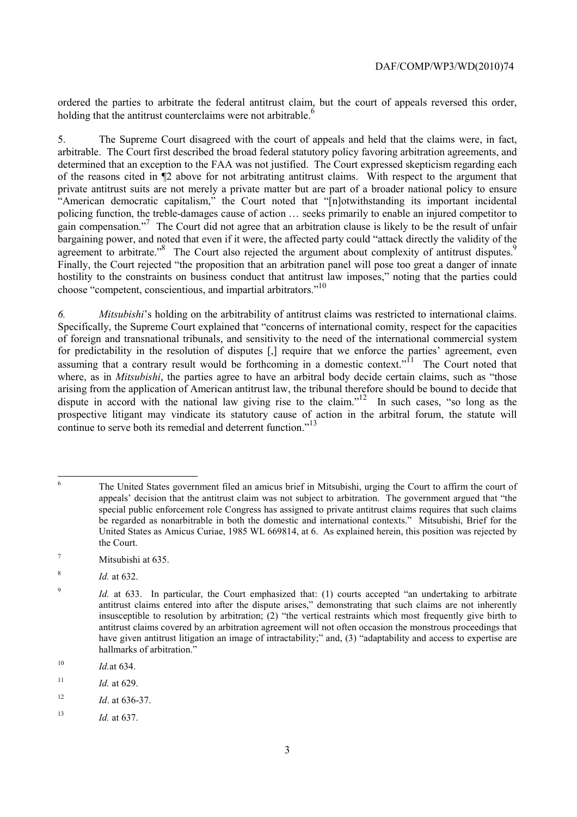ordered the parties to arbitrate the federal antitrust claim, but the court of appeals reversed this order, holding that the antitrust counterclaims were not arbitrable. $\frac{6}{5}$ 

 determined that an exception to the FAA was not justified. The Court expressed skepticism regarding each policing function, the treble-damages cause of action … seeks primarily to enable an injured competitor to gain compensation."<sup>7</sup> The Court did not agree that an arbitration clause is likely to be the result of unfair 5. The Supreme Court disagreed with the court of appeals and held that the claims were, in fact, arbitrable. The Court first described the broad federal statutory policy favoring arbitration agreements, and of the reasons cited in ¶2 above for not arbitrating antitrust claims. With respect to the argument that private antitrust suits are not merely a private matter but are part of a broader national policy to ensure "American democratic capitalism," the Court noted that "[n]otwithstanding its important incidental bargaining power, and noted that even if it were, the affected party could "attack directly the validity of the agreement to arbitrate.<sup>38</sup> The Court also rejected the argument about complexity of antitrust disputes.<sup>9</sup> Finally, the Court rejected "the proposition that an arbitration panel will pose too great a danger of innate hostility to the constraints on business conduct that antitrust law imposes," noting that the parties could choose "competent, conscientious, and impartial arbitrators."10

*6. Mitsubishi*'s holding on the arbitrability of antitrust claims was restricted to international claims. Specifically, the Supreme Court explained that "concerns of international comity, respect for the capacities of foreign and transnational tribunals, and sensitivity to the need of the international commercial system for predictability in the resolution of disputes [,] require that we enforce the parties' agreement, even assuming that a contrary result would be forthcoming in a domestic context."<sup>11</sup> The Court noted that where, as in *Mitsubishi*, the parties agree to have an arbitral body decide certain claims, such as "those arising from the application of American antitrust law, the tribunal therefore should be bound to decide that dispute in accord with the national law giving rise to the claim."<sup>12</sup> In such cases, "so long as the prospective litigant may vindicate its statutory cause of action in the arbitral forum, the statute will continue to serve both its remedial and deterrent function."<sup>13</sup>

<sup>8</sup>*Id.* at 632.

<sup>6</sup>  appeals' decision that the antitrust claim was not subject to arbitration. The government argued that "the be regarded as nonarbitrable in both the domestic and international contexts." Mitsubishi, Brief for the 6 The United States government filed an amicus brief in Mitsubishi, urging the Court to affirm the court of special public enforcement role Congress has assigned to private antitrust claims requires that such claims United States as Amicus Curiae, 1985 WL 669814, at 6. As explained herein, this position was rejected by the Court.

 $^7$  Mitsubishi at 635.

 insusceptible to resolution by arbitration; (2) "the vertical restraints which most frequently give birth to <sup>9</sup> *Id.* at 633. In particular, the Court emphasized that: (1) courts accepted "an undertaking to arbitrate antitrust claims entered into after the dispute arises," demonstrating that such claims are not inherently antitrust claims covered by an arbitration agreement will not often occasion the monstrous proceedings that have given antitrust litigation an image of intractability;" and, (3) "adaptability and access to expertise are hallmarks of arbitration."

 $10$ <sup>10</sup>*Id.*at 634.

 $11$ *Id.* at 629.

 $12$ <sup>12</sup>*Id*. at 636-37.

<sup>13</sup>*Id.* at 637.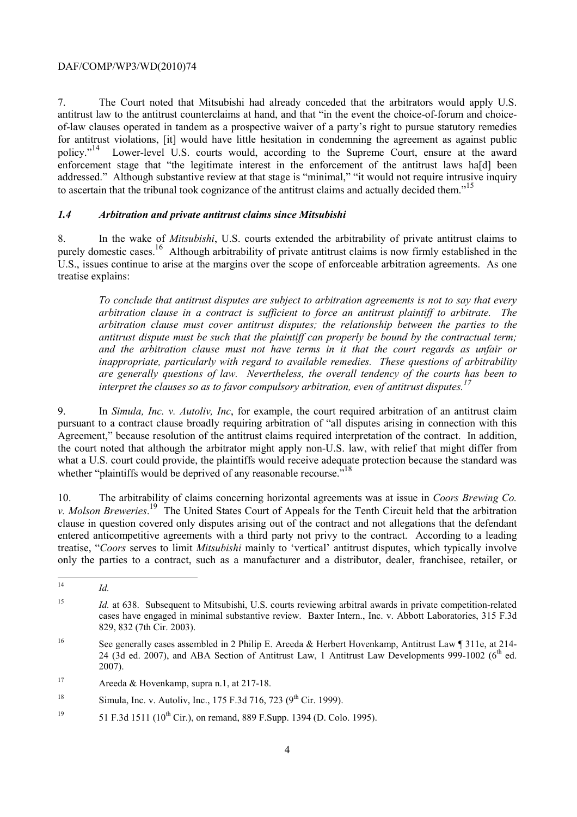7. The Court noted that Mitsubishi had already conceded that the arbitrators would apply U.S. antitrust law to the antitrust counterclaims at hand, and that "in the event the choice-of-forum and choiceof-law clauses operated in tandem as a prospective waiver of a party's right to pursue statutory remedies for antitrust violations, [it] would have little hesitation in condemning the agreement as against public policy."<sup>14</sup> Lower-level U.S. courts would, according to the Supreme Court, ensure at the award enforcement stage that "the legitimate interest in the enforcement of the antitrust laws ha[d] been addressed." Although substantive review at that stage is "minimal," "it would not require intrusive inquiry to ascertain that the tribunal took cognizance of the antitrust claims and actually decided them."<sup>15</sup>

## *1.4 Arbitration and private antitrust claims since Mitsubishi*

 treatise explains: 8. In the wake of *Mitsubishi*, U.S. courts extended the arbitrability of private antitrust claims to purely domestic cases.<sup>16</sup> Although arbitrability of private antitrust claims is now firmly established in the U.S., issues continue to arise at the margins over the scope of enforceable arbitration agreements. As one

*To conclude that antitrust disputes are subject to arbitration agreements is not to say that every arbitration clause in a contract is sufficient to force an antitrust plaintiff to arbitrate. The arbitration clause must cover antitrust disputes; the relationship between the parties to the antitrust dispute must be such that the plaintiff can properly be bound by the contractual term; and the arbitration clause must not have terms in it that the court regards as unfair or inappropriate, particularly with regard to available remedies. These questions of arbitrability are generally questions of law. Nevertheless, the overall tendency of the courts has been to*  interpret the clauses so as to favor compulsory arbitration, even of antitrust disputes.<sup>17</sup>

9. In *Simula, Inc. v. Autoliv, Inc*, for example, the court required arbitration of an antitrust claim pursuant to a contract clause broadly requiring arbitration of "all disputes arising in connection with this Agreement," because resolution of the antitrust claims required interpretation of the contract. In addition, the court noted that although the arbitrator might apply non-U.S. law, with relief that might differ from what a U.S. court could provide, the plaintiffs would receive adequate protection because the standard was whether "plaintiffs would be deprived of any reasonable recourse."<sup>18</sup>

*v. Molson Breweries.*<sup>19</sup> The United States Court of Appeals for the Tenth Circuit held that the arbitration 10. The arbitrability of claims concerning horizontal agreements was at issue in *Coors Brewing Co.*  clause in question covered only disputes arising out of the contract and not allegations that the defendant entered anticompetitive agreements with a third party not privy to the contract. According to a leading treatise, "*Coors* serves to limit *Mitsubishi* mainly to 'vertical' antitrust disputes, which typically involve only the parties to a contract, such as a manufacturer and a distributor, dealer, franchisee, retailer, or

 $\overline{a}$ <sup>14</sup>*Id.* 

<sup>15</sup>  829, 832 (7th Cir. 2003). *Id.* at 638. Subsequent to Mitsubishi, U.S. courts reviewing arbitral awards in private competition-related cases have engaged in minimal substantive review. Baxter Intern., Inc. v. Abbott Laboratories, 315 F.3d

<sup>16</sup> 24 (3d ed. 2007), and ABA Section of Antitrust Law, 1 Antitrust Law Developments 999-1002 ( $6<sup>th</sup>$  ed. See generally cases assembled in 2 Philip E. Areeda & Herbert Hovenkamp, Antitrust Law ¶ 311e, at 214-2007).

 $17\,$ Areeda & Hovenkamp, supra n.1, at 217-18.

<sup>18</sup> Simula, Inc. v. Autoliv, Inc., 175 F.3d 716, 723 (9<sup>th</sup> Cir. 1999).

<sup>&</sup>lt;sup>19</sup> 51 F.3d 1511 (10<sup>th</sup> Cir.), on remand, 889 F.Supp. 1394 (D. Colo. 1995).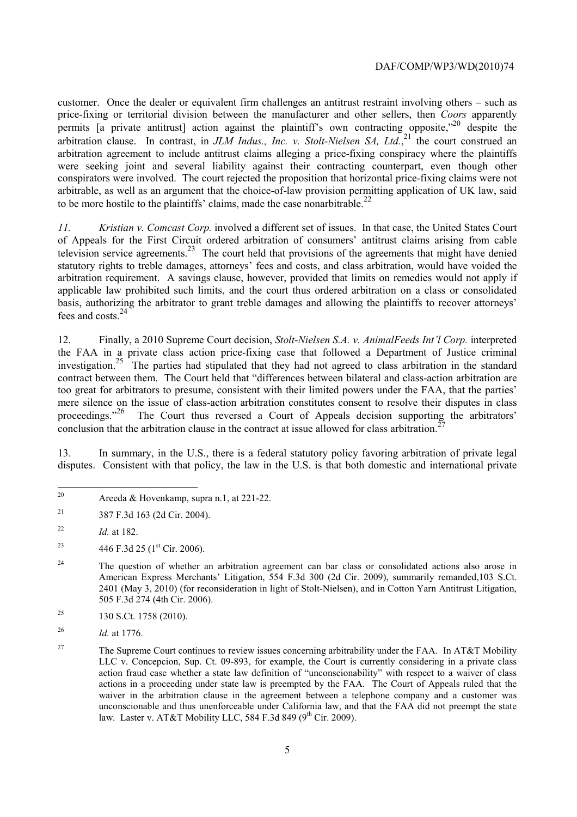arbitration clause. In contrast, in *JLM Indus., Inc. v. Stolt-Nielsen SA, Ltd.*<sup>21</sup> the court construed an arbitrable, as well as an argument that the choice-of-law provision permitting application of UK law, said customer. Once the dealer or equivalent firm challenges an antitrust restraint involving others – such as price-fixing or territorial division between the manufacturer and other sellers, then *Coors* apparently permits [a private antitrust] action against the plaintiff's own contracting opposite,<sup>720</sup> despite the arbitration agreement to include antitrust claims alleging a price-fixing conspiracy where the plaintiffs were seeking joint and several liability against their contracting counterpart, even though other conspirators were involved. The court rejected the proposition that horizontal price-fixing claims were not to be more hostile to the plaintiffs' claims, made the case nonarbitrable.<sup>22</sup>

*11. Kristian v. Comcast Corp.* involved a different set of issues. In that case, the United States Court of Appeals for the First Circuit ordered arbitration of consumers' antitrust claims arising from cable television service agreements.<sup>23</sup> The court held that provisions of the agreements that might have denied statutory rights to treble damages, attorneys' fees and costs, and class arbitration, would have voided the arbitration requirement. A savings clause, however, provided that limits on remedies would not apply if applicable law prohibited such limits, and the court thus ordered arbitration on a class or consolidated basis, authorizing the arbitrator to grant treble damages and allowing the plaintiffs to recover attorneys' fees and costs.24

proceedings."<sup>26</sup> The Court thus reversed a Court of Appeals decision supporting the arbitrators' 12. Finally, a 2010 Supreme Court decision, *Stolt-Nielsen S.A. v. AnimalFeeds Int'l Corp.* interpreted the FAA in a private class action price-fixing case that followed a Department of Justice criminal investigation.<sup>25</sup> The parties had stipulated that they had not agreed to class arbitration in the standard contract between them. The Court held that "differences between bilateral and class-action arbitration are too great for arbitrators to presume, consistent with their limited powers under the FAA, that the parties' mere silence on the issue of class-action arbitration constitutes consent to resolve their disputes in class conclusion that the arbitration clause in the contract at issue allowed for class arbitration.<sup>2</sup>

13. In summary, in the U.S., there is a federal statutory policy favoring arbitration of private legal disputes. Consistent with that policy, the law in the U.S. is that both domestic and international private

Areeda & Hovenkamp, supra n.1, at  $221-22$ .

 $21$ 21 387 F.3d 163 (2d Cir. 2004).

<sup>22</sup>*Id.* at 182.

<sup>&</sup>lt;sup>23</sup> 446 F.3d 25 (1<sup>st</sup> Cir. 2006).

<sup>&</sup>lt;sup>24</sup> The question of whether an arbitration agreement can bar class or consolidated actions also arose in American Express Merchants' Litigation, 554 F.3d 300 (2d Cir. 2009), summarily remanded,103 S.Ct. 2401 (May 3, 2010) (for reconsideration in light of Stolt-Nielsen), and in Cotton Yarn Antitrust Litigation, 505 F.3d 274 (4th Cir. 2006).

<sup>&</sup>lt;sup>25</sup> 130 S.Ct. 1758 (2010).

<sup>26</sup>*Id.* at 1776.

 LLC v. Concepcion, Sup. Ct. 09-893, for example, the Court is currently considering in a private class waiver in the arbitration clause in the agreement between a telephone company and a customer was law. Laster v. AT&T Mobility LLC, 584 F.3d 849 ( $9<sup>th</sup>$  Cir. 2009). <sup>27</sup> The Supreme Court continues to review issues concerning arbitrability under the FAA. In AT&T Mobility action fraud case whether a state law definition of "unconscionability" with respect to a waiver of class actions in a proceeding under state law is preempted by the FAA. The Court of Appeals ruled that the unconscionable and thus unenforceable under California law, and that the FAA did not preempt the state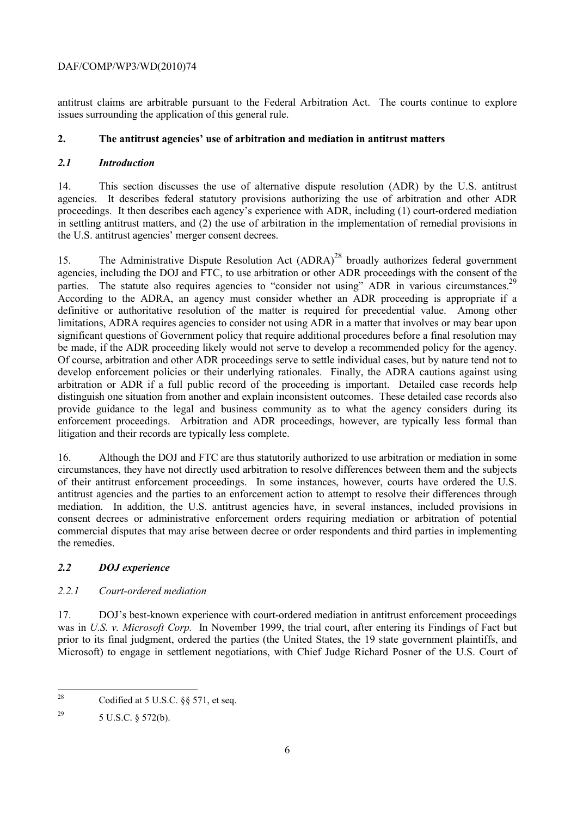antitrust claims are arbitrable pursuant to the Federal Arbitration Act. The courts continue to explore issues surrounding the application of this general rule.

### **2. The antitrust agencies' use of arbitration and mediation in antitrust matters**

#### *2.1 Introduction*

14. This section discusses the use of alternative dispute resolution (ADR) by the U.S. antitrust agencies. It describes federal statutory provisions authorizing the use of arbitration and other ADR proceedings. It then describes each agency's experience with ADR, including (1) court-ordered mediation in settling antitrust matters, and (2) the use of arbitration in the implementation of remedial provisions in the U.S. antitrust agencies' merger consent decrees.

parties. The statute also requires agencies to "consider not using" ADR in various circumstances.<sup>29</sup> According to the ADRA, an agency must consider whether an ADR proceeding is appropriate if a be made, if the ADR proceeding likely would not serve to develop a recommended policy for the agency. provide guidance to the legal and business community as to what the agency considers during its 15. The Administrative Dispute Resolution Act (ADRA)<sup>28</sup> broadly authorizes federal government agencies, including the DOJ and FTC, to use arbitration or other ADR proceedings with the consent of the definitive or authoritative resolution of the matter is required for precedential value. Among other limitations, ADRA requires agencies to consider not using ADR in a matter that involves or may bear upon significant questions of Government policy that require additional procedures before a final resolution may Of course, arbitration and other ADR proceedings serve to settle individual cases, but by nature tend not to develop enforcement policies or their underlying rationales. Finally, the ADRA cautions against using arbitration or ADR if a full public record of the proceeding is important. Detailed case records help distinguish one situation from another and explain inconsistent outcomes. These detailed case records also enforcement proceedings. Arbitration and ADR proceedings, however, are typically less formal than litigation and their records are typically less complete.

 antitrust agencies and the parties to an enforcement action to attempt to resolve their differences through mediation. In addition, the U.S. antitrust agencies have, in several instances, included provisions in consent decrees or administrative enforcement orders requiring mediation or arbitration of potential 16. Although the DOJ and FTC are thus statutorily authorized to use arbitration or mediation in some circumstances, they have not directly used arbitration to resolve differences between them and the subjects of their antitrust enforcement proceedings. In some instances, however, courts have ordered the U.S. commercial disputes that may arise between decree or order respondents and third parties in implementing the remedies.

## *2.2 DOJ experience*

## *2.2.1 Court-ordered mediation*

17. DOJ's best-known experience with court-ordered mediation in antitrust enforcement proceedings was in *U.S. v. Microsoft Corp.* In November 1999, the trial court, after entering its Findings of Fact but prior to its final judgment, ordered the parties (the United States, the 19 state government plaintiffs, and Microsoft) to engage in settlement negotiations, with Chief Judge Richard Posner of the U.S. Court of

 $28$ Codified at 5 U.S.C.  $\S$ § 571, et seq.

<sup>&</sup>lt;sup>29</sup> 5 U.S.C. § 572(b).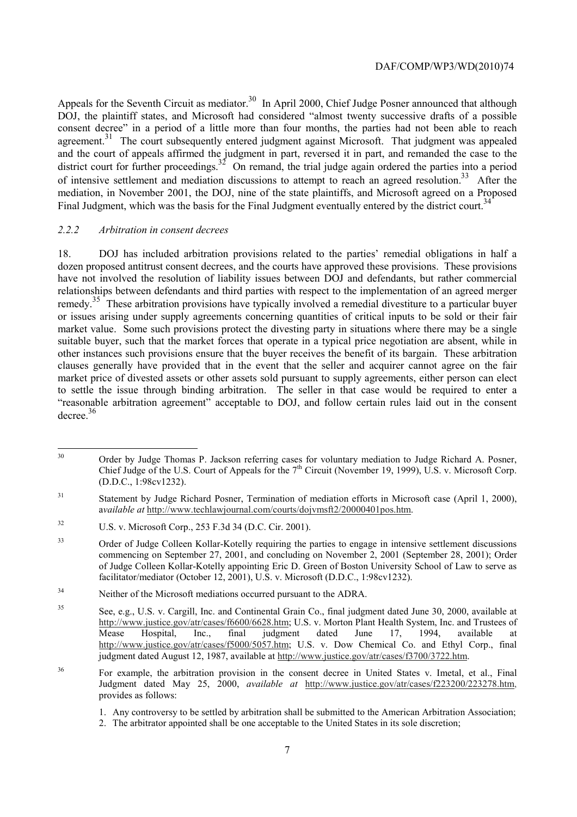Appeals for the Seventh Circuit as mediator.<sup>30</sup> In April 2000, Chief Judge Posner announced that although of intensive settlement and mediation discussions to attempt to reach an agreed resolution.<sup>33</sup> After the DOJ, the plaintiff states, and Microsoft had considered "almost twenty successive drafts of a possible consent decree" in a period of a little more than four months, the parties had not been able to reach agreement.<sup>31</sup> The court subsequently entered judgment against Microsoft. That judgment was appealed and the court of appeals affirmed the judgment in part, reversed it in part, and remanded the case to the district court for further proceedings.<sup>32</sup> On remand, the trial judge again ordered the parties into a period mediation, in November 2001, the DOJ, nine of the state plaintiffs, and Microsoft agreed on a Proposed Final Judgment, which was the basis for the Final Judgment eventually entered by the district court.<sup>34</sup>

#### *2.2.2 Arbitration in consent decrees*

 $\overline{a}$ 

 18. DOJ has included arbitration provisions related to the parties' remedial obligations in half a remedy.<sup>35</sup> These arbitration provisions have typically involved a remedial divestiture to a particular buyer dozen proposed antitrust consent decrees, and the courts have approved these provisions. These provisions have not involved the resolution of liability issues between DOJ and defendants, but rather commercial relationships between defendants and third parties with respect to the implementation of an agreed merger or issues arising under supply agreements concerning quantities of critical inputs to be sold or their fair market value. Some such provisions protect the divesting party in situations where there may be a single suitable buyer, such that the market forces that operate in a typical price negotiation are absent, while in other instances such provisions ensure that the buyer receives the benefit of its bargain. These arbitration clauses generally have provided that in the event that the seller and acquirer cannot agree on the fair market price of divested assets or other assets sold pursuant to supply agreements, either person can elect to settle the issue through binding arbitration. The seller in that case would be required to enter a "reasonable arbitration agreement" acceptable to DOJ, and follow certain rules laid out in the consent decree.<sup>36</sup>

Chief Judge of the U.S. Court of Appeals for the  $7<sup>th</sup>$  Circuit (November 19, 1999), U.S. v. Microsoft Corp. 30 Order by Judge Thomas P. Jackson referring cases for voluntary mediation to Judge Richard A. Posner, (D.D.C., 1:98cv1232).

<sup>31</sup> 31 Statement by Judge Richard Posner, Termination of mediation efforts in Microsoft case (April 1, 2000), a*vailable at* http://www.techlawjournal.com/courts/dojvmsft2/20000401pos.htm.

<sup>32</sup> U.S. v. Microsoft Corp., 253 F.3d 34 (D.C. Cir. 2001).

<sup>&</sup>lt;sup>33</sup> Order of Judge Colleen Kollar-Kotelly requiring the parties to engage in intensive settlement discussions commencing on September 27, 2001, and concluding on November 2, 2001 (September 28, 2001); Order of Judge Colleen Kollar-Kotelly appointing Eric D. Green of Boston University School of Law to serve as facilitator/mediator (October 12, 2001), U.S. v. Microsoft (D.D.C., 1:98cv1232).

<sup>34</sup> Neither of the Microsoft mediations occurred pursuant to the ADRA.

<sup>35</sup> See, e.g., U.S. v. Cargill, Inc. and Continental Grain Co., final judgment dated June 30, 2000, available at http://www.justice.gov/atr/cases/f6600/6628.htm; U.S. v. Morton Plant Health System, Inc. and Trustees of Mease Hospital, Inc., final judgment dated June 17, 1994, available at http://www.justice.gov/atr/cases/f5000/5057.htm; U.S. v. Dow Chemical Co. and Ethyl Corp., final judgment dated August 12, 1987, available at http://www.justice.gov/atr/cases/f3700/3722.htm.

<sup>36</sup> 36 For example, the arbitration provision in the consent decree in United States v. Imetal, et al., Final Judgment dated May 25, 2000, *available at* http://www.justice.gov/atr/cases/f223200/223278.htm, provides as follows:

 1. Any controversy to be settled by arbitration shall be submitted to the American Arbitration Association;

<sup>2.</sup> The arbitrator appointed shall be one acceptable to the United States in its sole discretion;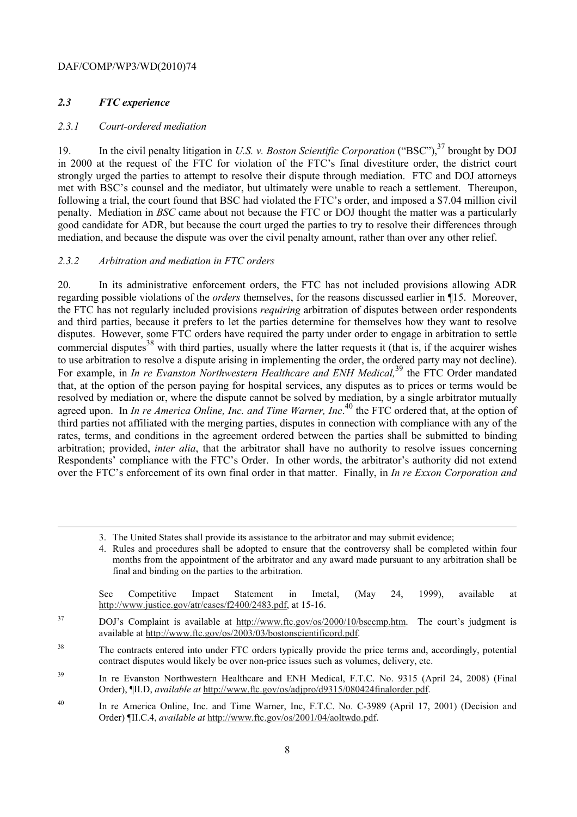## *2.3 FTC experience*

1

#### *2.3.1 Court-ordered mediation*

 met with BSC's counsel and the mediator, but ultimately were unable to reach a settlement. Thereupon, 19. In the civil penalty litigation in *U.S. v. Boston Scientific Corporation* ("BSC"),<sup>37</sup> brought by DOJ in 2000 at the request of the FTC for violation of the FTC's final divestiture order, the district court strongly urged the parties to attempt to resolve their dispute through mediation. FTC and DOJ attorneys following a trial, the court found that BSC had violated the FTC's order, and imposed a \$7.04 million civil penalty. Mediation in *BSC* came about not because the FTC or DOJ thought the matter was a particularly good candidate for ADR, but because the court urged the parties to try to resolve their differences through mediation, and because the dispute was over the civil penalty amount, rather than over any other relief.

#### *2.3.2 Arbitration and mediation in FTC orders*

 to use arbitration to resolve a dispute arising in implementing the order, the ordered party may not decline). For example, in *In re Evanston Northwestern Healthcare and ENH Medical,*39 the FTC Order mandated agreed upon. In *In re America Online, Inc. and Time Warner, Inc.*<sup>40</sup> the FTC ordered that, at the option of 20. In its administrative enforcement orders, the FTC has not included provisions allowing ADR regarding possible violations of the *orders* themselves, for the reasons discussed earlier in ¶15. Moreover, the FTC has not regularly included provisions *requiring* arbitration of disputes between order respondents and third parties, because it prefers to let the parties determine for themselves how they want to resolve disputes. However, some FTC orders have required the party under order to engage in arbitration to settle commercial disputes<sup>38</sup> with third parties, usually where the latter requests it (that is, if the acquirer wishes that, at the option of the person paying for hospital services, any disputes as to prices or terms would be resolved by mediation or, where the dispute cannot be solved by mediation, by a single arbitrator mutually third parties not affiliated with the merging parties, disputes in connection with compliance with any of the rates, terms, and conditions in the agreement ordered between the parties shall be submitted to binding arbitration; provided, *inter alia*, that the arbitrator shall have no authority to resolve issues concerning Respondents' compliance with the FTC's Order. In other words, the arbitrator's authority did not extend over the FTC's enforcement of its own final order in that matter. Finally, in *In re Exxon Corporation and* 

| See Competitive Impact Statement in Imetal, (May 24, 1999), available at |  |  |  |  |  |
|--------------------------------------------------------------------------|--|--|--|--|--|
| http://www.justice.gov/atr/cases/f2400/2483.pdf, at 15-16.               |  |  |  |  |  |

<sup>37</sup> DOJ's Complaint is available at http://www.ftc.gov/os/2000/10/bsccmp.htm. The court's judgment is available at http://www.ftc.gov/os/2003/03/bostonscientificord.pdf.

<sup>38</sup> The contracts entered into under FTC orders typically provide the price terms and, accordingly, potential contract disputes would likely be over non-price issues such as volumes, delivery, etc.

<sup>39</sup> In re Evanston Northwestern Healthcare and ENH Medical, F.T.C. No. 9315 (April 24, 2008) (Final Order), ¶II.D, *available at* http://www.ftc.gov/os/adjpro/d9315/080424finalorder.pdf.

<sup>40</sup> In re America Online, Inc. and Time Warner, Inc, F.T.C. No. C-3989 (April 17, 2001) (Decision and Order) ¶II.C.4, *available at* http://www.ftc.gov/os/2001/04/aoltwdo.pdf.

<sup>3.</sup> The United States shall provide its assistance to the arbitrator and may submit evidence;

 4. Rules and procedures shall be adopted to ensure that the controversy shall be completed within four final and binding on the parties to the arbitration.<br>See Competitive Impact Statement in Imetal, (May 24, 1999), available at months from the appointment of the arbitrator and any award made pursuant to any arbitration shall be